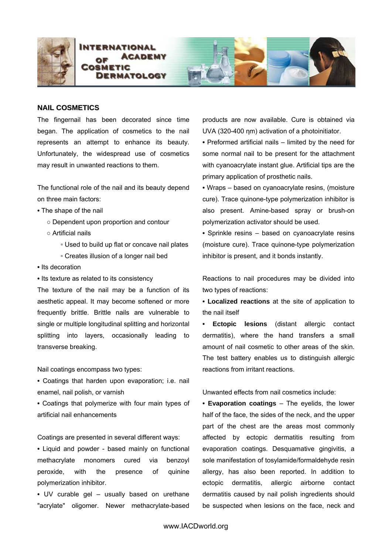



## **NAIL COSMETICS**

The fingernail has been decorated since time began. The application of cosmetics to the nail represents an attempt to enhance its beauty. Unfortunately, the widespread use of cosmetics may result in unwanted reactions to them.

The functional role of the nail and its beauty depend on three main factors:

- The shape of the nail
	- Dependent upon proportion and contour
	- Artificial nails
		- Used to build up flat or concave nail plates
		- Creates illusion of a longer nail bed
- Its decoration
- Its texture as related to its consistency

The texture of the nail may be a function of its aesthetic appeal. It may become softened or more frequently brittle. Brittle nails are vulnerable to single or multiple longitudinal splitting and horizontal splitting into layers, occasionally leading to transverse breaking.

Nail coatings encompass two types:

**•** Coatings that harden upon evaporation; i.e. nail enamel, nail polish, or varnish

**•** Coatings that polymerize with four main types of artificial nail enhancements

Coatings are presented in several different ways:

**•** Liquid and powder - based mainly on functional methacrylate monomers cured via benzoyl peroxide, with the presence of quinine polymerization inhibitor.

**•** UV curable gel – usually based on urethane "acrylate" oligomer. Newer methacrylate-based products are now available. Cure is obtained via UVA (320-400 ηm) activation of a photoinitiator.

**•** Preformed artificial nails – limited by the need for some normal nail to be present for the attachment with cyanoacrylate instant glue. Artificial tips are the primary application of prosthetic nails.

**•** Wraps – based on cyanoacrylate resins, (moisture cure). Trace quinone-type polymerization inhibitor is also present. Amine-based spray or brush-on polymerization activator should be used.

**•** Sprinkle resins – based on cyanoacrylate resins (moisture cure). Trace quinone-type polymerization inhibitor is present, and it bonds instantly.

Reactions to nail procedures may be divided into two types of reactions:

**• Localized reactions** at the site of application to the nail itself

**• Ectopic lesions** (distant allergic contact dermatitis), where the hand transfers a small amount of nail cosmetic to other areas of the skin. The test battery enables us to distinguish allergic reactions from irritant reactions.

Unwanted effects from nail cosmetics include:

**• Evaporation coatings** – The eyelids, the lower half of the face, the sides of the neck, and the upper part of the chest are the areas most commonly affected by ectopic dermatitis resulting from evaporation coatings. Desquamative gingivitis, a sole manifestation of tosylamide/formaldehyde resin allergy, has also been reported. In addition to ectopic dermatitis, allergic airborne contact dermatitis caused by nail polish ingredients should be suspected when lesions on the face, neck and